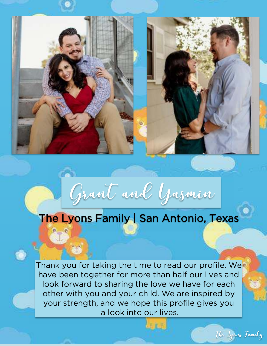

## Grant and Yasmin

## The Lyons Family | San Antonio, Texas

Thank you for taking the time to read our profile. We have been together for more than half our lives and look forward to sharing the love we have for each other with you and your child. We are inspired by your strength, and we hope this profile gives you a look into our lives.

The Lyons Family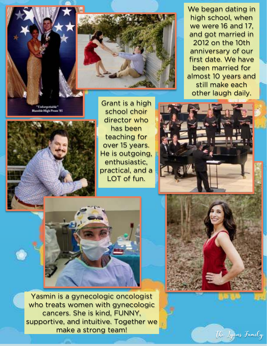"Unforgettable"<br>Humble High Prum '01



Grant is a high school choir director who has been teaching for over 15 years. He is outgoing, enthusiastic, practical, and a LOT of fun.

We began dating in high school, when we were 16 and 17, and got married in 2012 on the 10th anniversary of our first date. We have been married for almost 10 years and still make each other laugh daily.



The Lyons Family



Yasmin is a gynecologic oncologist who treats women with gynecologic cancers. She is kind, FUNNY, supportive, and intuitive. Together we make a strong team!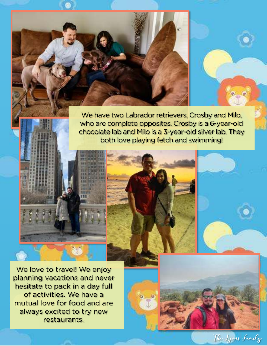We have two Labrador retrievers, Crosby and Milo, who are complete opposites. Crosby is a 6-year-old chocolate lab and Milo is a 3-year-old silver lab. They both love playing fetch and swimming!

The Lyons Family

We love to travel! We enjoy planning vacations and never hesitate to pack in a day full of activities. We have a mutual love for food and are always excited to try new restaurants.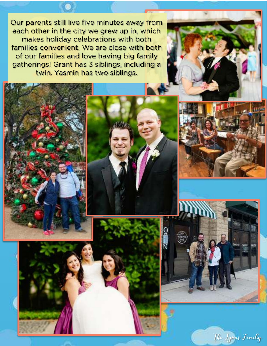Our parents still live five minutes away from each other in the city we grew up in, which makes holiday celebrations with both families convenient. We are close with both of our families and love having big family gatherings! Grant has 3 siblings, including a twin. Yasmin has two siblings.









The Lyons Family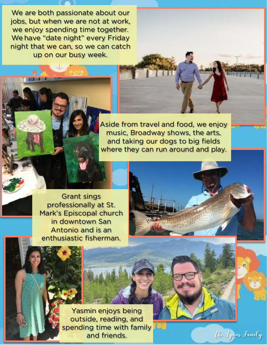We are both passionate about our jobs, but when we are not at work, we enjoy spending time together. We have "date night" every Friday night that we can, so we can catch up on our busy week. .

> Aside from travel and food, we enjoy music, Broadway shows, the arts, and taking our dogs to big fields where they can run around and play.

> > The Lyons Family

Grant sings professionally at St. Mark's Episcopal church in downtown San Antonio and is an enthusiastic fisherman.

> Yasmin enjoys being outside, reading, and spending time with family and friends.